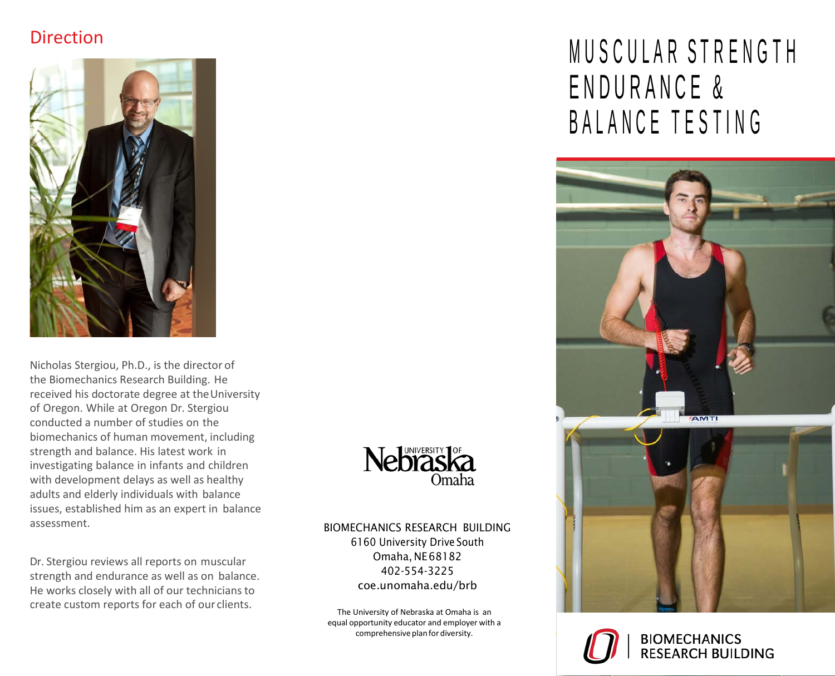## Direction



Nicholas Stergiou, Ph.D., is the director of the Biomechanics Research Building. He received his doctorate degree at theUniversity of Oregon. While at Oregon Dr. Stergiou conducted a number of studies on the biomechanics of human movement, including strength and balance. His latest work in investigating balance in infants and children with development delays as well as healthy adults and elderly individuals with balance issues, established him as an expert in balance assessment.

Dr. Stergiou reviews all reports on muscular strength and endurance as well as on balance. He works closely with all of our technicians to create custom reports for each of our clients.



#### BIOMECHANICS RESEARCH BUILDING

6160 University Drive South Omaha, NE68182 402-554-3225 coe.unomaha.edu/brb

The University of Nebraska at Omaha is an equal opportunity educator and employer with a comprehensive plan for diversity.

# MUSCULAR STRENGTH ENDURANCE & BALANCE TESTING



**BIOMECHANICS RESEARCH BUILDING**